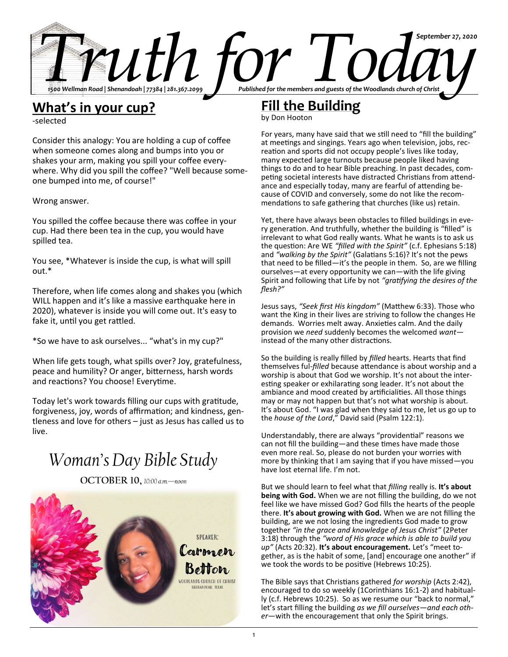

### **What's in your cup?**

-selected

Consider this analogy: You are holding a cup of coffee when someone comes along and bumps into you or shakes your arm, making you spill your coffee everywhere. Why did you spill the coffee? "Well because someone bumped into me, of course!"

Wrong answer.

You spilled the coffee because there was coffee in your cup. Had there been tea in the cup, you would have spilled tea.

You see, \*Whatever is inside the cup, is what will spill out.\*

Therefore, when life comes along and shakes you (which WILL happen and it's like a massive earthquake here in 2020), whatever is inside you will come out. It's easy to fake it, until you get rattled.

\*So we have to ask ourselves... "what's in my cup?"

When life gets tough, what spills over? Joy, gratefulness, peace and humility? Or anger, bitterness, harsh words and reactions? You choose! Everytime.

Today let's work towards filling our cups with gratitude, forgiveness, joy, words of affirmation; and kindness, gentleness and love for others – just as Jesus has called us to live.

# Woman's Day Bible Study

OCTOBER 10, 10:00 a.m.-noon



## **Fill the Building**

by Don Hooton

For years, many have said that we still need to "fill the building" at meetings and singings. Years ago when television, jobs, recreation and sports did not occupy people's lives like today, many expected large turnouts because people liked having things to do and to hear Bible preaching. In past decades, competing societal interests have distracted Christians from attendance and especially today, many are fearful of attending because of COVID and conversely, some do not like the recommendations to safe gathering that churches (like us) retain.

Yet, there have always been obstacles to filled buildings in every generation. And truthfully, whether the building is "filled" is irrelevant to what God really wants. What he wants is to ask us the question: Are WE *"filled with the Spirit"* (c.f. Ephesians 5:18) and *"walking by the Spirit"* (Galatians 5:16)? It's not the pews that need to be filled—it's the people in them. So, are we filling ourselves—at every opportunity we can—with the life giving Spirit and following that Life by not *"gratifying the desires of the flesh?"*

Jesus says, *"Seek first His kingdom"* (Matthew 6:33). Those who want the King in their lives are striving to follow the changes He demands. Worries melt away. Anxieties calm. And the daily provision we *need* suddenly becomes the welcomed *want* instead of the many other distractions.

So the building is really filled by *filled* hearts. Hearts that find themselves ful-*filled* because attendance is about worship and a worship is about that God we worship. It's not about the interesting speaker or exhilarating song leader. It's not about the ambiance and mood created by artificialities. All those things may or may not happen but that's not what worship is about. It's about God. "I was glad when they said to me, let us go up to the *house of the Lord*," David said (Psalm 122:1).

Understandably, there are always "providential" reasons we can not fill the building—and these times have made those even more real. So, please do not burden your worries with more by thinking that I am saying that if you have missed—you have lost eternal life. I'm not.

But we should learn to feel what that *filling* really is. **It's about being with God.** When we are not filling the building, do we not feel like we have missed God? God fills the hearts of the people there. **It's about growing with God.** When we are not filling the building, are we not losing the ingredients God made to grow together *"in the grace and knowledge of Jesus Christ"* (2Peter 3:18) through the *"word of His grace which is able to build you up"* (Acts 20:32). **It's about encouragement.** Let's "meet together, as is the habit of some, [and] encourage one another" if we took the words to be positive (Hebrews 10:25).

The Bible says that Christians gathered *for worship* (Acts 2:42), encouraged to do so weekly (1Corinthians 16:1-2) and habitually (c.f. Hebrews 10:25). So as we resume our "back to normal," let's start filling the building *as we fill ourselves*—*and each other*—with the encouragement that only the Spirit brings.